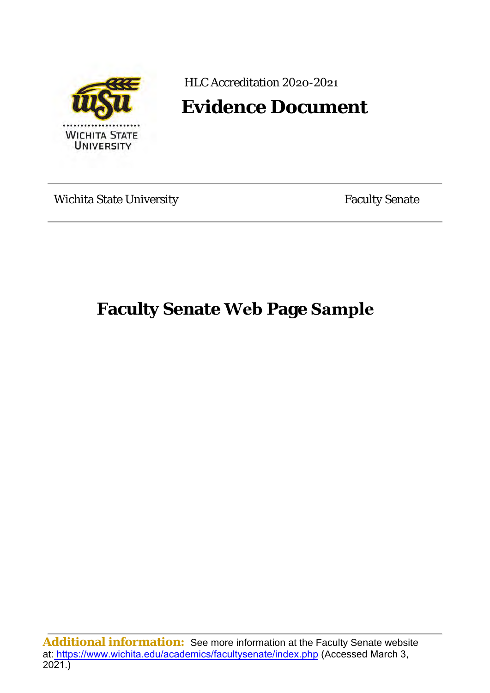

HLC Accreditation 2020-2021

# **Evidence Document**

Wichita State University **Faculty** Senate

**Faculty Senate Web Page Sample**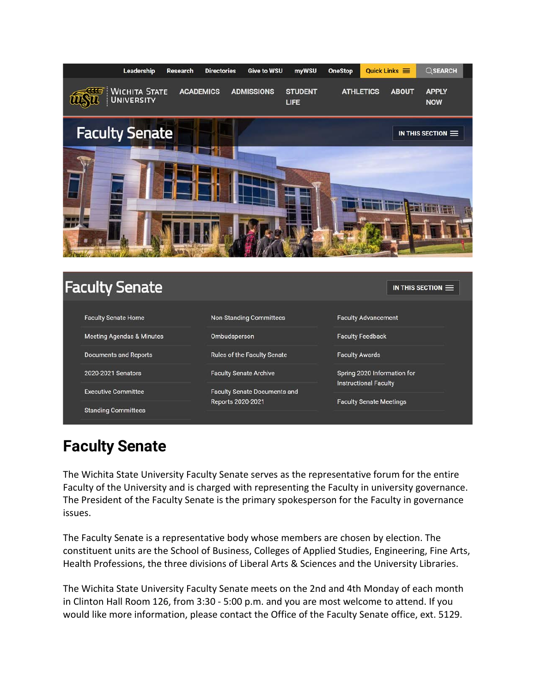

| <b>Faculty Senate</b>                |                                     | IN THIS SECTION $\equiv$       |
|--------------------------------------|-------------------------------------|--------------------------------|
| <b>Faculty Senate Home</b>           | <b>Non-Standing Committees</b>      | <b>Faculty Advancement</b>     |
| <b>Meeting Agendas &amp; Minutes</b> | Ombudsperson                        | <b>Faculty Feedback</b>        |
| <b>Documents and Reports</b>         | <b>Rules of the Faculty Senate</b>  | <b>Faculty Awards</b>          |
| 2020-2021 Senators                   | <b>Faculty Senate Archive</b>       | Spring 2020 Information for    |
| <b>Executive Committee</b>           | <b>Faculty Senate Documents and</b> | <b>Instructional Faculty</b>   |
| <b>Standing Committees</b>           | Reports 2020-2021                   | <b>Faculty Senate Meetings</b> |

## **Faculty Senate**

The Wichita State University Faculty Senate serves as the representative forum for the entire Faculty of the University and is charged with representing the Faculty in university governance. The President of the Faculty Senate is the primary spokesperson for the Faculty in governance issues.

The Faculty Senate is a representative body whose members are chosen by election. The constituent units are the School of Business, Colleges of Applied Studies, Engineering, Fine Arts, Health Professions, the three divisions of Liberal Arts & Sciences and the University Libraries.

The Wichita State University Faculty Senate meets on the 2nd and 4th Monday of each month in Clinton Hall Room 126, from 3:30 - 5:00 p.m. and you are most welcome to attend. If you would like more information, please contact the Office of the Faculty Senate office, ext. 5129.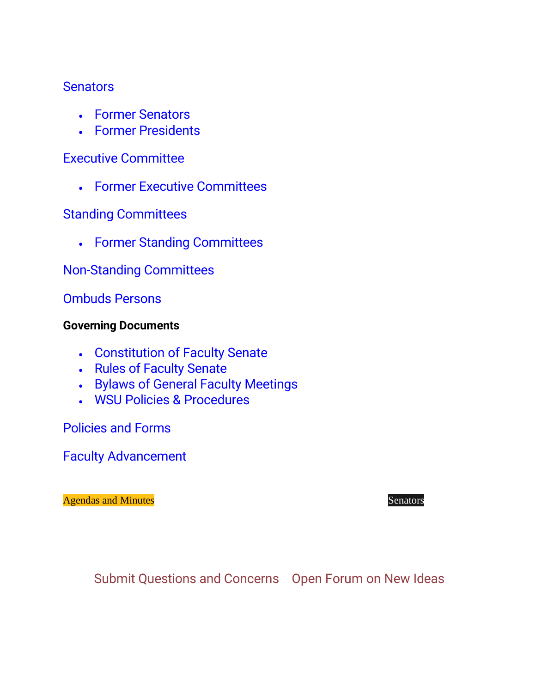## **[Senators](https://www.wichita.edu/academics/facultysenate/2021senators.php)**

- [Former Senators](https://www.wichita.edu/academics/facultysenate/previoussemators.php)
- [Former Presidents](https://www.wichita.edu/academics/facultysenate/pastpresidents.php)

## [Executive Committee](https://www.wichita.edu/academics/facultysenate/2021exec.php)

• [Former Executive Committees](https://www.wichita.edu/academics/facultysenate/Executive_Committees.php) 

## [Standing Committees](https://www.wichita.edu/academics/facultysenate/2021committees.php)

• [Former Standing](https://www.wichita.edu/academics/facultysenate/previouscommittees.php) Committees

## [Non-Standing Committees](https://www.wichita.edu/academics/facultysenate/adhoccomtes.php)

## [Ombuds Persons](https://www.wichita.edu/academics/facultysenate/Ombuds.php)

## **Governing Documents**

- [Constitution of](https://www.wichita.edu/academics/facultysenate/documents/ConstitutionOfTheFacultySenate_5.13.19.pdf) Faculty Senate
- [Rules of Faculty](https://www.wichita.edu/academics/facultysenate/rulesofthefacultysenateintro.php) Senate
- [Bylaws of General Faculty Meetings](https://www.wichita.edu/academics/facultysenate/documents/BylawsOfTheGeneralFacultyMeetings_4.29.19.pdf)
- [WSU Policies & Procedures](https://www.wichita.edu/about/policy/ch_4.htm)

[Policies and](https://www.wichita.edu/academics/facultysenate/PoliciesForms/PoliciesAndFormsIndex.php) Forms

[Faculty Advancement](https://www.wichita.edu/faculty/development/)

[Agendas and](https://www.wichita.edu/academics/facultysenate/agendas_minutes_fy2020.php) Minutes **[Senators](https://www.wichita.edu/academics/facultysenate/1920senators.php)** Senators **Senators** 

[Submit Questions and Concerns](https://www.wichita.edu/academics/facultysenate/Feedback.php) [Open Forum on New Ideas](https://wsubac.wordpress.com/)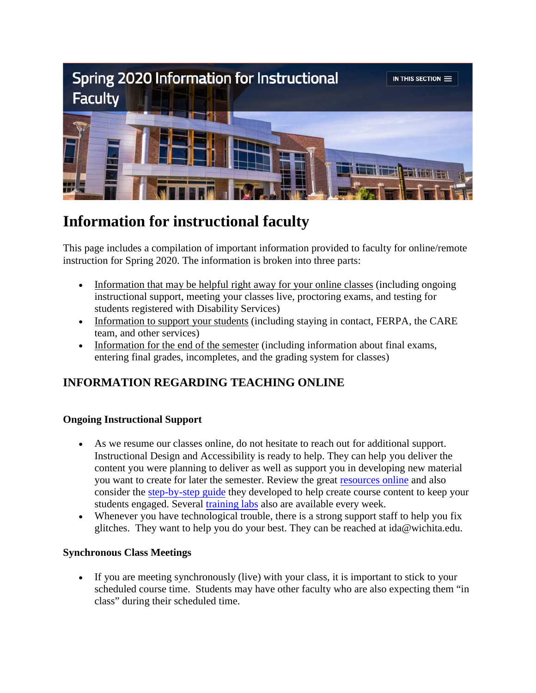

## **Information for instructional faculty**

This page includes a compilation of important information provided to faculty for online/remote instruction for Spring 2020. The information is broken into three parts:

- Information that may be helpful right away for your online classes (including ongoing instructional support, meeting your classes live, proctoring exams, and testing for students registered with Disability Services)
- Information to support your students (including staying in contact, FERPA, the CARE team, and other services)
- Information for the end of the semester (including information about final exams, entering final grades, incompletes, and the grading system for classes)

## **INFORMATION REGARDING TEACHING ONLINE**

### **Ongoing Instructional Support**

- As we resume our classes online, do not hesitate to reach out for additional support. Instructional Design and Accessibility is ready to help. They can help you deliver the content you were planning to deliver as well as support you in developing new material you want to create for later the semester. Review the great [resources online](https://www.wichita.edu/services/mrc/instructional_technology/BbTraining/emergencyonline.php) and also consider the [step-by-step guide](https://www.wichita.edu/services/mrc/instructional_technology/COVID/index.php) they developed to help create course content to keep your students engaged. Several [training labs](http://wichita.edu/idalabs) also are available every week.
- Whenever you have technological trouble, there is a strong support staff to help you fix glitches. They want to help you do your best. They can be reached at ida@wichita.edu.

#### **Synchronous Class Meetings**

• If you are meeting synchronously (live) with your class, it is important to stick to your scheduled course time. Students may have other faculty who are also expecting them "in class" during their scheduled time.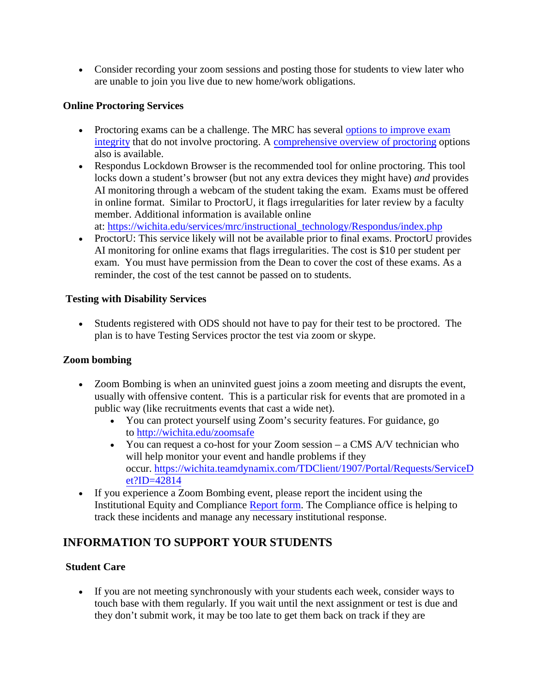• Consider recording your zoom sessions and posting those for students to view later who are unable to join you live due to new home/work obligations.

#### **Online Proctoring Services**

- Proctoring exams can be a challenge. The MRC has several [options to improve exam](https://wichita.edu/services/mrc/instructional_technology/Respondus/onlinetestintegrity.php) [integrity](https://wichita.edu/services/mrc/instructional_technology/Respondus/onlinetestintegrity.php) that do not involve proctoring. A [comprehensive overview of proctoring](https://wichita.edu/services/mrc/instructional_technology/Respondus/proctoringoptions.php) options also is available.
- Respondus Lockdown Browser is the recommended tool for online proctoring. This tool locks down a student's browser (but not any extra devices they might have) *and* provides AI monitoring through a webcam of the student taking the exam. Exams must be offered in online format. Similar to ProctorU, it flags irregularities for later review by a faculty member. Additional information is available online at: [https://wichita.edu/services/mrc/instructional\\_technology/Respondus/index.php](https://wichita.edu/services/mrc/instructional_technology/Respondus/index.php)
- ProctorU: This service likely will not be available prior to final exams. ProctorU provides AI monitoring for online exams that flags irregularities. The cost is \$10 per student per exam. You must have permission from the Dean to cover the cost of these exams. As a reminder, the cost of the test cannot be passed on to students.

#### **Testing with Disability Services**

• Students registered with ODS should not have to pay for their test to be proctored. The plan is to have Testing Services proctor the test via zoom or skype.

### **Zoom bombing**

- Zoom Bombing is when an uninvited guest joins a zoom meeting and disrupts the event, usually with offensive content. This is a particular risk for events that are promoted in a public way (like recruitments events that cast a wide net).
	- You can protect yourself using Zoom's security features. For guidance, go to <http://wichita.edu/zoomsafe>
	- You can request a co-host for your Zoom session a CMS A/V technician who will help monitor your event and handle problems if they occur. [https://wichita.teamdynamix.com/TDClient/1907/Portal/Requests/ServiceD](https://wichita.teamdynamix.com/TDClient/1907/Portal/Requests/ServiceDet?ID=42814) [et?ID=42814](https://wichita.teamdynamix.com/TDClient/1907/Portal/Requests/ServiceDet?ID=42814)
- If you experience a Zoom Bombing event, please report the incident using the Institutional Equity and Compliance [Report form.](https://cm.maxient.com/reportingform.php?WichitaStateUniv&layout_id=8) The Compliance office is helping to track these incidents and manage any necessary institutional response.

## **INFORMATION TO SUPPORT YOUR STUDENTS**

#### **Student Care**

• If you are not meeting synchronously with your students each week, consider ways to touch base with them regularly. If you wait until the next assignment or test is due and they don't submit work, it may be too late to get them back on track if they are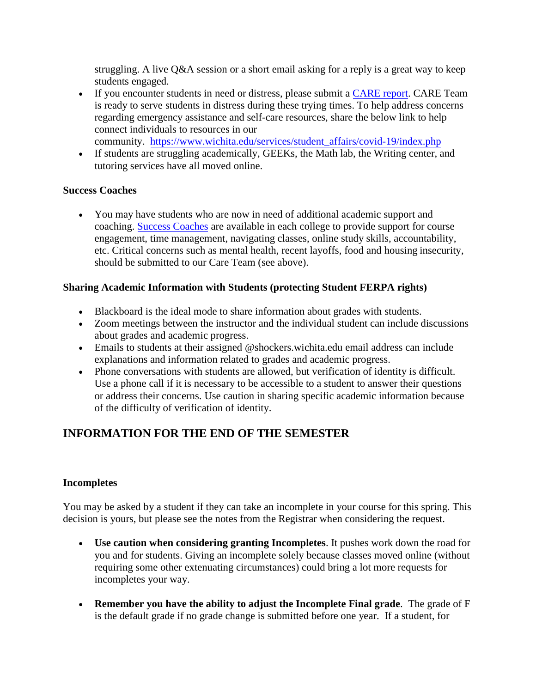struggling. A live Q&A session or a short email asking for a reply is a great way to keep students engaged.

- If you encounter students in need or distress, please submit a [CARE report.](https://www.wichita.edu/services/careteam/) CARE Team is ready to serve students in distress during these trying times. To help address concerns regarding emergency assistance and self-care resources, share the below link to help connect individuals to resources in our
	- community. [https://www.wichita.edu/services/student\\_affairs/covid-19/index.php](https://www.wichita.edu/services/student_affairs/covid-19/index.php)
- If students are struggling academically, GEEKs, the Math lab, the Writing center, and tutoring services have all moved online.

#### **Success Coaches**

• You may have students who are now in need of additional academic support and coaching. [Success Coaches](https://www.wichita.edu/services/studentsuccess/successcoaches.php) are available in each college to provide support for course engagement, time management, navigating classes, online study skills, accountability, etc. Critical concerns such as mental health, recent layoffs, food and housing insecurity, should be submitted to our Care Team (see above).

#### **Sharing Academic Information with Students (protecting Student FERPA rights)**

- Blackboard is the ideal mode to share information about grades with students.
- Zoom meetings between the instructor and the individual student can include discussions about grades and academic progress.
- Emails to students at their assigned @shockers.wichita.edu email address can include explanations and information related to grades and academic progress.
- Phone conversations with students are allowed, but verification of identity is difficult. Use a phone call if it is necessary to be accessible to a student to answer their questions or address their concerns. Use caution in sharing specific academic information because of the difficulty of verification of identity.

## **INFORMATION FOR THE END OF THE SEMESTER**

#### **Incompletes**

You may be asked by a student if they can take an incomplete in your course for this spring. This decision is yours, but please see the notes from the Registrar when considering the request.

- **Use caution when considering granting Incompletes**. It pushes work down the road for you and for students. Giving an incomplete solely because classes moved online (without requiring some other extenuating circumstances) could bring a lot more requests for incompletes your way.
- **Remember you have the ability to adjust the Incomplete Final grade**. The grade of F is the default grade if no grade change is submitted before one year. If a student, for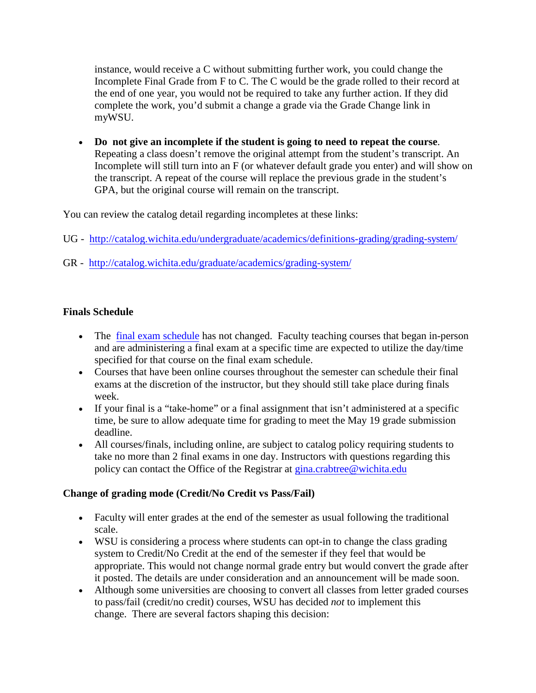instance, would receive a C without submitting further work, you could change the Incomplete Final Grade from F to C. The C would be the grade rolled to their record at the end of one year, you would not be required to take any further action. If they did complete the work, you'd submit a change a grade via the Grade Change link in myWSU.

• **Do not give an incomplete if the student is going to need to repeat the course**. Repeating a class doesn't remove the original attempt from the student's transcript. An Incomplete will still turn into an F (or whatever default grade you enter) and will show on the transcript. A repeat of the course will replace the previous grade in the student's GPA, but the original course will remain on the transcript.

You can review the catalog detail regarding incompletes at these links:

- UG <http://catalog.wichita.edu/undergraduate/academics/definitions-grading/grading-system/>
- GR <http://catalog.wichita.edu/graduate/academics/grading-system/>

#### **Finals Schedule**

- The [final exam schedule](applewebdata://69DD821F-4AED-47B7-9A4B-7D5C0D98B540/wichita.edu/finals) has not changed. Faculty teaching courses that began in-person and are administering a final exam at a specific time are expected to utilize the day/time specified for that course on the final exam schedule.
- Courses that have been online courses throughout the semester can schedule their final exams at the discretion of the instructor, but they should still take place during finals week.
- If your final is a "take-home" or a final assignment that isn't administered at a specific time, be sure to allow adequate time for grading to meet the May 19 grade submission deadline.
- All courses/finals, including online, are subject to catalog policy requiring students to take no more than 2 final exams in one day. Instructors with questions regarding this policy can contact the Office of the Registrar at [gina.crabtree@wichita.edu](mailto:gina.crabtree@wichita.edu)

### **Change of grading mode (Credit/No Credit vs Pass/Fail)**

- Faculty will enter grades at the end of the semester as usual following the traditional scale.
- WSU is considering a process where students can opt-in to change the class grading system to Credit/No Credit at the end of the semester if they feel that would be appropriate. This would not change normal grade entry but would convert the grade after it posted. The details are under consideration and an announcement will be made soon.
- Although some universities are choosing to convert all classes from letter graded courses to pass/fail (credit/no credit) courses, WSU has decided *not* to implement this change. There are several factors shaping this decision: